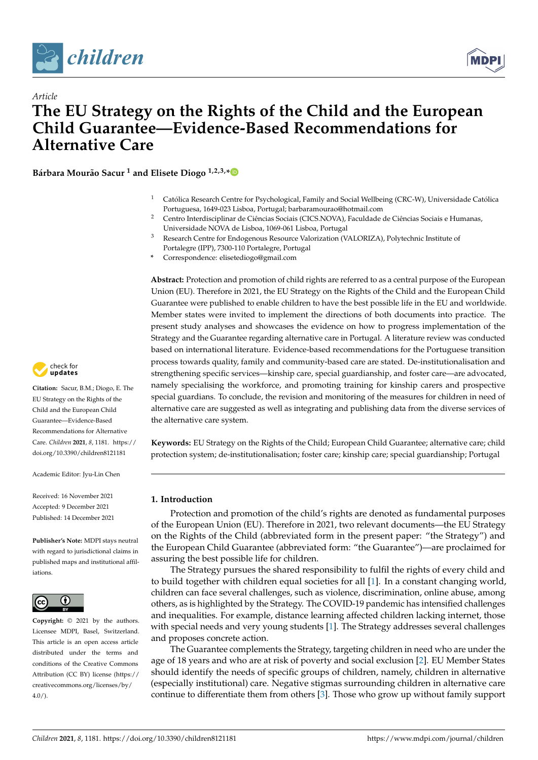



# *Article* **The EU Strategy on the Rights of the Child and the European Child Guarantee—Evidence-Based Recommendations for Alternative Care**

**Bárbara Mourão Sacur <sup>1</sup> and Elisete Diogo 1,2,3,[\\*](https://orcid.org/0000-0002-5303-8585)**

- <sup>1</sup> Católica Research Centre for Psychological, Family and Social Wellbeing (CRC-W), Universidade Católica Portuguesa, 1649-023 Lisboa, Portugal; barbaramourao@hotmail.com
- <sup>2</sup> Centro Interdisciplinar de Ciências Sociais (CICS.NOVA), Faculdade de Ciências Sociais e Humanas, Universidade NOVA de Lisboa, 1069-061 Lisboa, Portugal
- <sup>3</sup> Research Centre for Endogenous Resource Valorization (VALORIZA), Polytechnic Institute of Portalegre (IPP), 7300-110 Portalegre, Portugal
- **\*** Correspondence: elisetediogo@gmail.com

**Abstract:** Protection and promotion of child rights are referred to as a central purpose of the European Union (EU). Therefore in 2021, the EU Strategy on the Rights of the Child and the European Child Guarantee were published to enable children to have the best possible life in the EU and worldwide. Member states were invited to implement the directions of both documents into practice. The present study analyses and showcases the evidence on how to progress implementation of the Strategy and the Guarantee regarding alternative care in Portugal. A literature review was conducted based on international literature. Evidence-based recommendations for the Portuguese transition process towards quality, family and community-based care are stated. De-institutionalisation and strengthening specific services—kinship care, special guardianship, and foster care—are advocated, namely specialising the workforce, and promoting training for kinship carers and prospective special guardians. To conclude, the revision and monitoring of the measures for children in need of alternative care are suggested as well as integrating and publishing data from the diverse services of the alternative care system.

**Keywords:** EU Strategy on the Rights of the Child; European Child Guarantee; alternative care; child protection system; de-institutionalisation; foster care; kinship care; special guardianship; Portugal

## **1. Introduction**

Protection and promotion of the child's rights are denoted as fundamental purposes of the European Union (EU). Therefore in 2021, two relevant documents—the EU Strategy on the Rights of the Child (abbreviated form in the present paper: "the Strategy") and the European Child Guarantee (abbreviated form: "the Guarantee")—are proclaimed for assuring the best possible life for children.

The Strategy pursues the shared responsibility to fulfil the rights of every child and to build together with children equal societies for all [\[1\]](#page-14-0). In a constant changing world, children can face several challenges, such as violence, discrimination, online abuse, among others, as is highlighted by the Strategy. The COVID-19 pandemic has intensified challenges and inequalities. For example, distance learning affected children lacking internet, those with special needs and very young students [\[1\]](#page-14-0). The Strategy addresses several challenges and proposes concrete action.

The Guarantee complements the Strategy, targeting children in need who are under the age of 18 years and who are at risk of poverty and social exclusion [\[2\]](#page-14-1). EU Member States should identify the needs of specific groups of children, namely, children in alternative (especially institutional) care. Negative stigmas surrounding children in alternative care continue to differentiate them from others [\[3\]](#page-14-2). Those who grow up without family support



**Citation:** Sacur, B.M.; Diogo, E. The EU Strategy on the Rights of the Child and the European Child Guarantee—Evidence-Based Recommendations for Alternative Care. *Children* **2021**, *8*, 1181. [https://](https://doi.org/10.3390/children8121181) [doi.org/10.3390/children8121181](https://doi.org/10.3390/children8121181)

Academic Editor: Jyu-Lin Chen

Received: 16 November 2021 Accepted: 9 December 2021 Published: 14 December 2021

**Publisher's Note:** MDPI stays neutral with regard to jurisdictional claims in published maps and institutional affiliations.



**Copyright:** © 2021 by the authors. Licensee MDPI, Basel, Switzerland. This article is an open access article distributed under the terms and conditions of the Creative Commons Attribution (CC BY) license (https:/[/](https://creativecommons.org/licenses/by/4.0/) [creativecommons.org/licenses/by/](https://creativecommons.org/licenses/by/4.0/)  $4.0/$ ).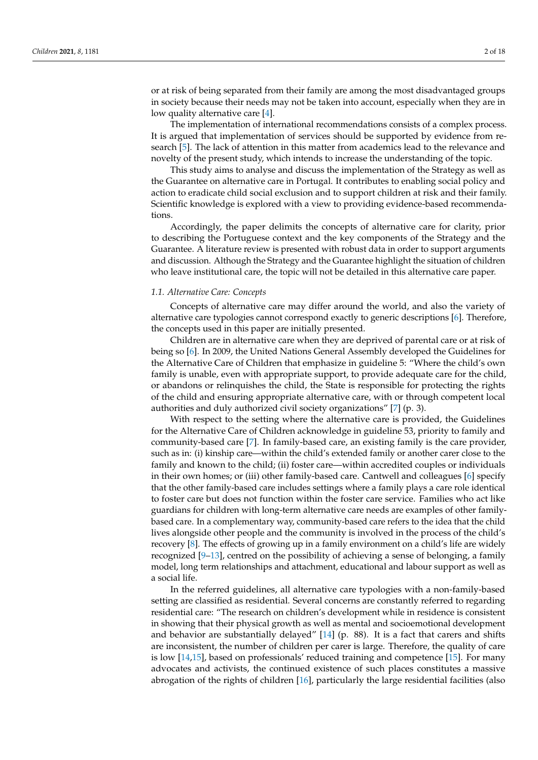or at risk of being separated from their family are among the most disadvantaged groups in society because their needs may not be taken into account, especially when they are in low quality alternative care [\[4\]](#page-14-3).

The implementation of international recommendations consists of a complex process. It is argued that implementation of services should be supported by evidence from research [\[5\]](#page-14-4). The lack of attention in this matter from academics lead to the relevance and novelty of the present study, which intends to increase the understanding of the topic.

This study aims to analyse and discuss the implementation of the Strategy as well as the Guarantee on alternative care in Portugal. It contributes to enabling social policy and action to eradicate child social exclusion and to support children at risk and their family. Scientific knowledge is explored with a view to providing evidence-based recommendations.

Accordingly, the paper delimits the concepts of alternative care for clarity, prior to describing the Portuguese context and the key components of the Strategy and the Guarantee. A literature review is presented with robust data in order to support arguments and discussion. Although the Strategy and the Guarantee highlight the situation of children who leave institutional care, the topic will not be detailed in this alternative care paper.

## *1.1. Alternative Care: Concepts*

Concepts of alternative care may differ around the world, and also the variety of alternative care typologies cannot correspond exactly to generic descriptions [\[6\]](#page-14-5). Therefore, the concepts used in this paper are initially presented.

Children are in alternative care when they are deprived of parental care or at risk of being so [\[6\]](#page-14-5). In 2009, the United Nations General Assembly developed the Guidelines for the Alternative Care of Children that emphasize in guideline 5: "Where the child's own family is unable, even with appropriate support, to provide adequate care for the child, or abandons or relinquishes the child, the State is responsible for protecting the rights of the child and ensuring appropriate alternative care, with or through competent local authorities and duly authorized civil society organizations" [\[7\]](#page-14-6) (p. 3).

With respect to the setting where the alternative care is provided, the Guidelines for the Alternative Care of Children acknowledge in guideline 53, priority to family and community-based care [\[7\]](#page-14-6). In family-based care, an existing family is the care provider, such as in: (i) kinship care—within the child's extended family or another carer close to the family and known to the child; (ii) foster care—within accredited couples or individuals in their own homes; or (iii) other family-based care. Cantwell and colleagues [\[6\]](#page-14-5) specify that the other family-based care includes settings where a family plays a care role identical to foster care but does not function within the foster care service. Families who act like guardians for children with long-term alternative care needs are examples of other familybased care. In a complementary way, community-based care refers to the idea that the child lives alongside other people and the community is involved in the process of the child's recovery [\[8\]](#page-14-7). The effects of growing up in a family environment on a child's life are widely recognized [\[9–](#page-14-8)[13\]](#page-14-9), centred on the possibility of achieving a sense of belonging, a family model, long term relationships and attachment, educational and labour support as well as a social life.

In the referred guidelines, all alternative care typologies with a non-family-based setting are classified as residential. Several concerns are constantly referred to regarding residential care: "The research on children's development while in residence is consistent in showing that their physical growth as well as mental and socioemotional development and behavior are substantially delayed"  $[14]$  (p. 88). It is a fact that carers and shifts are inconsistent, the number of children per carer is large. Therefore, the quality of care is low [\[14](#page-14-10)[,15\]](#page-15-0), based on professionals' reduced training and competence [\[15\]](#page-15-0). For many advocates and activists, the continued existence of such places constitutes a massive abrogation of the rights of children [\[16\]](#page-15-1), particularly the large residential facilities (also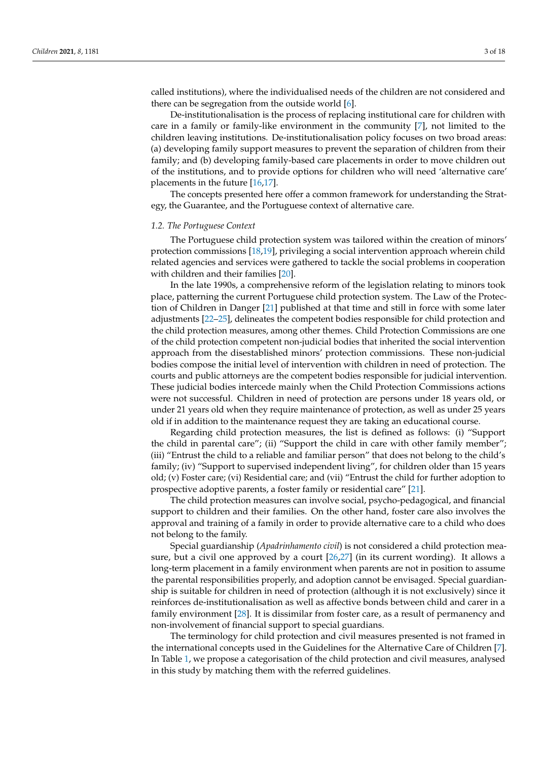called institutions), where the individualised needs of the children are not considered and there can be segregation from the outside world [\[6\]](#page-14-5).

De-institutionalisation is the process of replacing institutional care for children with care in a family or family-like environment in the community [\[7\]](#page-14-6), not limited to the children leaving institutions. De-institutionalisation policy focuses on two broad areas: (a) developing family support measures to prevent the separation of children from their family; and (b) developing family-based care placements in order to move children out of the institutions, and to provide options for children who will need 'alternative care' placements in the future [\[16,](#page-15-1)[17\]](#page-15-2).

The concepts presented here offer a common framework for understanding the Strategy, the Guarantee, and the Portuguese context of alternative care.

#### *1.2. The Portuguese Context*

The Portuguese child protection system was tailored within the creation of minors' protection commissions [\[18,](#page-15-3)[19\]](#page-15-4), privileging a social intervention approach wherein child related agencies and services were gathered to tackle the social problems in cooperation with children and their families [\[20\]](#page-15-5).

In the late 1990s, a comprehensive reform of the legislation relating to minors took place, patterning the current Portuguese child protection system. The Law of the Protection of Children in Danger [\[21\]](#page-15-6) published at that time and still in force with some later adjustments [\[22–](#page-15-7)[25\]](#page-15-8), delineates the competent bodies responsible for child protection and the child protection measures, among other themes. Child Protection Commissions are one of the child protection competent non-judicial bodies that inherited the social intervention approach from the disestablished minors' protection commissions. These non-judicial bodies compose the initial level of intervention with children in need of protection. The courts and public attorneys are the competent bodies responsible for judicial intervention. These judicial bodies intercede mainly when the Child Protection Commissions actions were not successful. Children in need of protection are persons under 18 years old, or under 21 years old when they require maintenance of protection, as well as under 25 years old if in addition to the maintenance request they are taking an educational course.

Regarding child protection measures, the list is defined as follows: (i) "Support the child in parental care"; (ii) "Support the child in care with other family member"; (iii) "Entrust the child to a reliable and familiar person" that does not belong to the child's family; (iv) "Support to supervised independent living", for children older than 15 years old; (v) Foster care; (vi) Residential care; and (vii) "Entrust the child for further adoption to prospective adoptive parents, a foster family or residential care" [\[21\]](#page-15-6).

The child protection measures can involve social, psycho-pedagogical, and financial support to children and their families. On the other hand, foster care also involves the approval and training of a family in order to provide alternative care to a child who does not belong to the family.

Special guardianship (*Apadrinhamento civil*) is not considered a child protection measure, but a civil one approved by a court [\[26,](#page-15-9)[27\]](#page-15-10) (in its current wording). It allows a long-term placement in a family environment when parents are not in position to assume the parental responsibilities properly, and adoption cannot be envisaged. Special guardianship is suitable for children in need of protection (although it is not exclusively) since it reinforces de-institutionalisation as well as affective bonds between child and carer in a family environment [\[28\]](#page-15-11). It is dissimilar from foster care, as a result of permanency and non-involvement of financial support to special guardians.

The terminology for child protection and civil measures presented is not framed in the international concepts used in the Guidelines for the Alternative Care of Children [\[7\]](#page-14-6). In Table [1,](#page-3-0) we propose a categorisation of the child protection and civil measures, analysed in this study by matching them with the referred guidelines.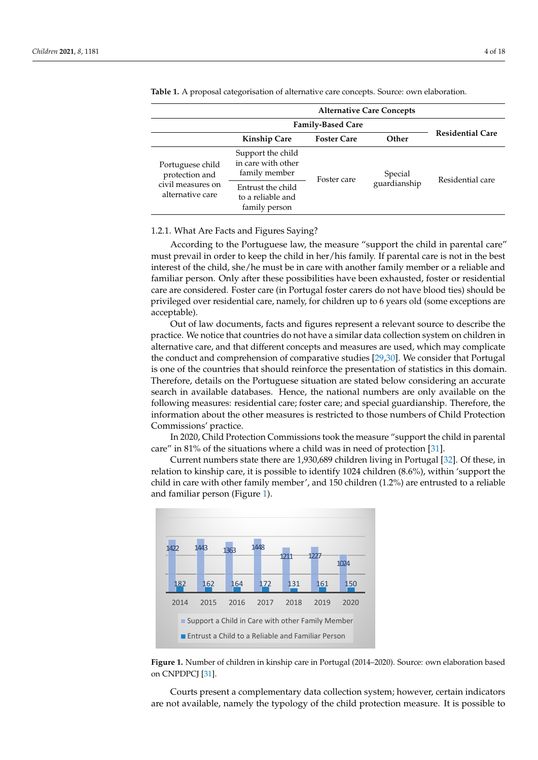|                                                                             | <b>Alternative Care Concepts</b>                         |                    |                         |                         |  |
|-----------------------------------------------------------------------------|----------------------------------------------------------|--------------------|-------------------------|-------------------------|--|
|                                                                             | <b>Family-Based Care</b>                                 |                    |                         |                         |  |
|                                                                             | <b>Kinship Care</b>                                      | <b>Foster Care</b> | Other                   | <b>Residential Care</b> |  |
| Portuguese child<br>protection and<br>civil measures on<br>alternative care | Support the child<br>in care with other<br>family member | Foster care        | Special<br>guardianship | Residential care        |  |
|                                                                             | Entrust the child<br>to a reliable and<br>family person  |                    |                         |                         |  |

<span id="page-3-0"></span>**Table 1.** A proposal categorisation of alternative care concepts. Source: own elaboration. **Table 1.** A proposal categorisation of alternative care concepts. Source: own elaboration.

#### 1.2.1. What Are Facts and Figures Saying? 1.2.1. What Are Facts and Figures Saying?

According to the Portuguese law, the measure "support the child in parental care" must prevail in order to keep the child in her/his family. If parental care is not in the best<br>interesting the child and the interest or a reliable and reliable and reliable and reliable and reliable and r interest of the child, she/he must be in care with another family member or a reliable and familiar person. Only after these possibilities have been exhausted, foster or residential familiar person. Only after these possibilities have been exhausted, foster or residential care are considered. Foster care (in Portugal foster carers do not have blood ties) should be care are considered. Foster care (in Portugal foster carers do not have blood ties) should eare are considered. Toster care (in Tortagal loster careful as not have slood des) should be privileged over residential care, namely, for children up to 6 years old (some exceptions are acceptable).  $\mathcal{A}$  to the portuguese law, the measure  $\mathcal{A}$  in particular care  $\mathcal{A}$  in particular care  $\mathcal{A}$ According to the Fortuguese law, the interactive support the child in parental care megea over re

Out of law documents, facts and figures represent a relevant source to describe the Out of law documents, facts and figures represent a relevant source to describe the practice. We notice that countries do not have a similar data collection system on children in processes. We notice that countries as never<br>alternative care, and that different concepts and measures are used, which may complicate the conduct and comprehension of comparative studies [\[29](#page-15-12)[,30\]](#page-15-13). We consider that Portugal plicate the conduct and comprehension of comparative studies [29,30]. We consider that is one of the countries that should reinforce the presentation of statistics in this domain. Therefore, details on the Portuguese situation are stated below considering an accurate search in available databases. Hence, the national numbers are only available on the following measures: residential care; foster care; and special guardianship. Therefore, the information about the other measures is restricted to those numbers of Child Protection Commissions' practice.

In 2020, Child Protection Commissions took the measure "support the child in parental care" in 81% of the situations where a child was in need of protection [\[31\]](#page-15-14).

Current numbers state there are 1,930,689 children living in Portugal [\[32\]](#page-15-15). Of these, in Current numbers state there are 1,930,689 children living in Portugal [32]. Of these, relation to kinship care, it is possible to identify 1024 children (8.6%), within 'support the child in care with other family member', and 150 children (1.2%) are entrusted to a reliable and familiar perso[n](#page-3-1) (Figure 1).

<span id="page-3-1"></span>

**Figure 1.** Number of children in kinship care in Portugal (2014–2020). Source: own elaboration **Figure 1.** Number of children in kinship care in Portugal (2014–2020). Source: own elaboration based on CNPDPCJ [\[31\]](#page-15-14).

Courts present a complementary data collection system; however, certain indicators are not available, namely the typology of the child protection measure. It is possible to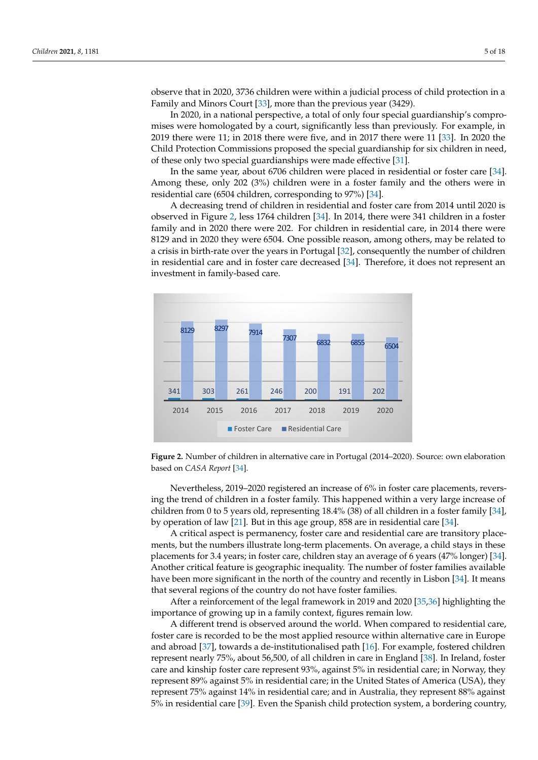observe that in 2020, 3736 children were within a judicial process of child protection in a observe that in 2020, 3736 children were within a judicial process of child protection in a Family and Minors Court [33], more than the previous year (3429). Family and Minors Court [\[33](#page-15-16)], more than the previous year (3429).

In 2020, in a national perspective, a total of only four special guardianship's compro-In 2020, in a national perspective, a total of only four special guardianship's compromises were homologated by a court, significantly less than previously. For example, in mises were homologated by a court, significantly less than previously. For example, in 2019 there were 11; in 2018 there were five, and in 2017 there were 11 [\[33\]](#page-15-16). In 2020 the 2019 there were 11; in 2018 there were five, and in 2017 there were 11 [33]. In 2020 the Child Protection Commissions proposed the special guardianship for six children in need, Child Protection Commissions proposed the special guardianship for six children in need, of these only two special guardianships were made effective [\[31\]](#page-15-14). of these only two special guardianships were made effective [31].

In the same year, about 6706 children were placed in residential or foster care [\[34\]](#page-15-17). In the same year, about 6706 children were placed in residential or foster care [34]. Among these, only 202 (3%) children were in a foster family and the others were in residential care (6504 children, corresponding to 97%) [\[34\]](#page-15-17).

A decreasing trend of children in residential and foster care from 2014 until 2020 is A decreasing trend of children in residential and foster care from 2014 until 2020 is observed in Figure [2,](#page-4-0) less 1764 children [\[34\]](#page-15-17). In 2014, there were 341 children in a foster observed in Figure 2, less 1764 children [34]. In 2014, there were 341 children in a foster family and in 2020 there were 202. For children in residential care, in 2014 there were 8129 and in 2020 they were 6504. One possible reason, among others, may be related to a crisis in birth-rate over the years in Portugal [\[32\]](#page-15-15), consequently the number of children in resi-in residential care and in foster care decreased [\[34\]](#page-15-17). Therefore, it does not represent an investment in family-based care. ment in family-based care.

<span id="page-4-0"></span>

**Figure 2.** Number of children in alternative care in Portugal (2014–2020). Source: own elaboration **Figure 2.** Number of children in alternative care in Portugal (2014–2020). Source: own elaboration based on *CASA Report* [34]. based on *CASA Report* [\[34\]](#page-15-17).

Nevertheless, 2019–2020 registered an increase of 6% in foster care placements, reversing the trend of children in a foster family. This happened within a very large increase of children from 0 to 5 years old, representing 18.4% (38) of all children in a foster family [\[34\]](#page-15-17),<br>children in a foster family [34], [34], by operation of law [21]. But in this age group, 858 are in residential care [34]. by operation of law [\[21\]](#page-15-6). But in this age group, 858 are in residential care [\[34\]](#page-15-17).

A critical aspect is permanency, foster care and residential care are transitory place-A critical aspect is permanency, foster care and residential care are transitory placements, but the numbers illustrate long-term placements. On average, a child stays in these placements for 2.4 meters. The number of the number of the number of the number of the number of the number of the number of the nu placements for 3.4 years; in foster care, children stay an average of 6 years (47% longer) [64].<br>Another critical feature is geographic inequality. The number of foster families available Another critical feature is geographic inequality. The number of foster families available have been more significant in the north of the country and recently in Lisbon [\[34\]](#page-15-17). It means that several regions of the country do not have foster families. placements for 3.4 years; in foster care, children stay an average of 6 years (47% longer) [\[34\]](#page-15-17).

After a reinforcement of the legal framework in 2019 and 2020 [\[35,](#page-15-18)[36\]](#page-15-19) highlighting the After a reinforcement of the legal framework in 2019 and 2020 [35,36] highlighting importance of growing up in a family context, figures remain low.

the importance of growing up in a family context, figures remain low. A different trend is observed around the world. When compared to residential care, foster care is recorded to be the most applied resource within alternative care in Europe and abroad [\[37\]](#page-15-20), towards a de-institutionalised path [\[16\]](#page-15-1). For example, fostered children represent nearly 75%, about 56,500, of all children in care in England [\[38\]](#page-15-21). In Ireland, foster <sup>1</sup><br>care and kinship foster care represent 93%, against 5% in residential care; in Norway, they represent 89% against 5% in residential care; in the United States of America (USA), they represent 75% against 14% in residential care; and in Australia, they represent 88% against 5% in residential care [\[39\]](#page-15-22). Even the Spanish child protection system, a bordering country,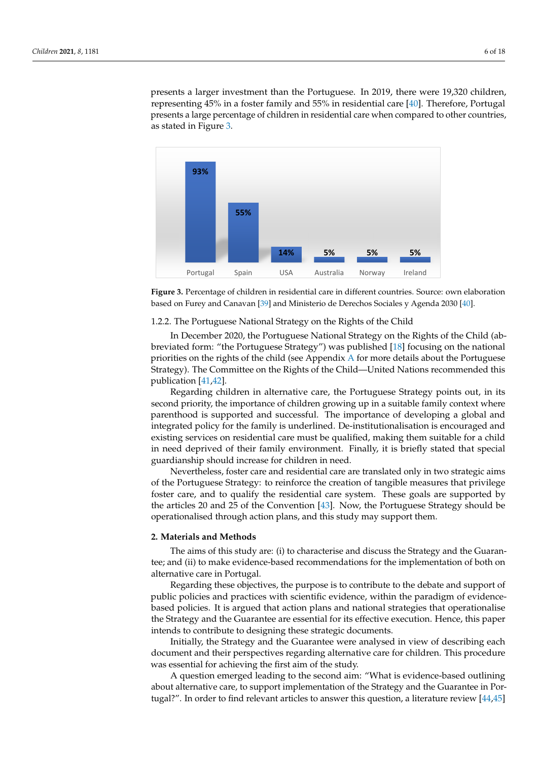presents a larger investment than the Portuguese. In 2019, there were 19,320 children, representing 45% in a foster family and 55% in residential care [40]. Therefore, Portugal presents a large percentage of children in residential care when compared to other countries, as stated in Figure 3.

<span id="page-5-0"></span>

**Figure 3.** Percentage of children in residential care in different countries. Source: own elaboration **Figure 3.** Percentage of children in residential care in different countries. Source: own elaboration based on Furey and Canavan [39] and Ministerio de Derechos Sociales y Agenda 2030 [40]. based on Furey and Canavan [\[39\]](#page-15-22) and Ministerio de Derechos Sociales y Agenda 2030 [\[40\]](#page-16-0).

# 1.2.2. The Portuguese National Strategy on the Rights of the Child

In December 2020, the Portuguese National Strategy on the Rights of the Child (ab-breviated form: "the Portuguese Strategy") was published [\[18\]](#page-15-3) focusing on the national priorities on the rights of the child (see [A](#page-13-0)ppendix A for more details about the Portuguese  $p_{\text{max}}$  and  $p_{\text{max}}$  for the rights of the child  $\alpha$  for  $\alpha$  for  $\alpha$  for  $\alpha$  for  $\alpha$  for  $\alpha$  for  $\alpha$  for  $\alpha$  for  $\alpha$  for  $\alpha$  for  $\alpha$  for  $\alpha$  for  $\alpha$  for  $\alpha$  for  $\alpha$  for  $\alpha$  for  $\alpha$  for  $\alpha$  for  $\alpha$  fo Strategy). The Committee on the Rights of the Child—United Nations recommended this Strategy). The Committee on the Rights of the Child—United Nations recommended this In December 2020, the Portuguese National Strategy on the Rights of the Child (abpublication [\[41](#page-16-1)[,42\]](#page-16-2).

Regarding children in alternative care, the Portuguese Strategy points out, in its second priority, the importance of children growing up in a suitable family context where parenthood is supported and successful. The importance of developing a global and Integrated policy for the family is underlined. De-institutionalisation is encouraged and existing services on residential care must be qualified, making them suitable for a child in need deprived of their family environment. Finally, it is briefly stated that special guardianship should increase for children in need.

Nevertheless, foster care and residential care are translated only in two strategic aims of the Portuguese Strategy: to reinforce the creation of tangible measures that privilege foster care, and to qualify the residential care system. These goals are supported by the articles 20 and 25 of the Convention [\[43\]](#page-16-3). Now, the Portuguese Strategy should be operationalised through action plans, and this study may support them.

## **2. Materials and Methods**

The aims of this study are: (i) to characterise and discuss the Strategy and the Guarantee; and (ii) to make evidence-based recommendations for the implementation of both on alternative care in Portugal. The implementations for the implementation of both  $\alpha$ 

Regarding these objectives, the purpose is to contribute to the debate and support of public policies and practices with scientific evidence, within the paradigm of evidencebased policies. It is argued that action plans and national strategies that operationalise the Strategy and the Guarantee are essential for its effective execution. Hence, this paper intends to contribute to designing these strategic documents.

Initially, the Strategy and the Guarantee were analysed in view of describing each document and their perspectives regarding alternative care for children. This procedure was essential for achieving the first aim of the study.

A question emerged leading to the second aim: "What is evidence-based outlining about alternative care, to support implementation of the Strategy and the Guarantee in Portugal?". In order to find relevant articles to answer this question, a literature review [\[44,](#page-16-4)[45\]](#page-16-5)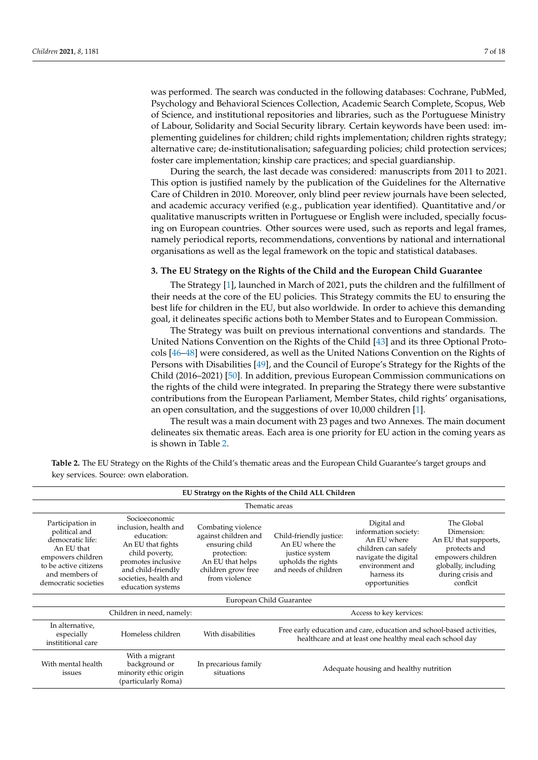was performed. The search was conducted in the following databases: Cochrane, PubMed, Psychology and Behavioral Sciences Collection, Academic Search Complete, Scopus, Web of Science, and institutional repositories and libraries, such as the Portuguese Ministry of Labour, Solidarity and Social Security library. Certain keywords have been used: implementing guidelines for children; child rights implementation; children rights strategy; alternative care; de-institutionalisation; safeguarding policies; child protection services; foster care implementation; kinship care practices; and special guardianship.

During the search, the last decade was considered: manuscripts from 2011 to 2021. This option is justified namely by the publication of the Guidelines for the Alternative Care of Children in 2010. Moreover, only blind peer review journals have been selected, and academic accuracy verified (e.g., publication year identified). Quantitative and/or qualitative manuscripts written in Portuguese or English were included, specially focusing on European countries. Other sources were used, such as reports and legal frames, namely periodical reports, recommendations, conventions by national and international organisations as well as the legal framework on the topic and statistical databases.

## **3. The EU Strategy on the Rights of the Child and the European Child Guarantee**

The Strategy [\[1\]](#page-14-0), launched in March of 2021, puts the children and the fulfillment of their needs at the core of the EU policies. This Strategy commits the EU to ensuring the best life for children in the EU, but also worldwide. In order to achieve this demanding goal, it delineates specific actions both to Member States and to European Commission.

The Strategy was built on previous international conventions and standards. The United Nations Convention on the Rights of the Child [\[43\]](#page-16-3) and its three Optional Protocols [\[46](#page-16-6)[–48\]](#page-16-7) were considered, as well as the United Nations Convention on the Rights of Persons with Disabilities [\[49\]](#page-16-8), and the Council of Europe's Strategy for the Rights of the Child (2016–2021) [\[50\]](#page-16-9). In addition, previous European Commission communications on the rights of the child were integrated. In preparing the Strategy there were substantive contributions from the European Parliament, Member States, child rights' organisations, an open consultation, and the suggestions of over 10,000 children [\[1\]](#page-14-0).

The result was a main document with 23 pages and two Annexes. The main document delineates six thematic areas. Each area is one priority for EU action in the coming years as is shown in Table [2.](#page-6-0)

<span id="page-6-0"></span>**Table 2.** The EU Strategy on the Rights of the Child's thematic areas and the European Child Guarantee's target groups and key services. Source: own elaboration.

| EU Stratrgy on the Rights of the Child ALL Children                                                                                                         |                                                                                                                                                                                       |                                                                                                                                        |                                                                                                                                   |                                                                                                                                                      |                                                                                                                                               |  |
|-------------------------------------------------------------------------------------------------------------------------------------------------------------|---------------------------------------------------------------------------------------------------------------------------------------------------------------------------------------|----------------------------------------------------------------------------------------------------------------------------------------|-----------------------------------------------------------------------------------------------------------------------------------|------------------------------------------------------------------------------------------------------------------------------------------------------|-----------------------------------------------------------------------------------------------------------------------------------------------|--|
| Thematic areas                                                                                                                                              |                                                                                                                                                                                       |                                                                                                                                        |                                                                                                                                   |                                                                                                                                                      |                                                                                                                                               |  |
| Participation in<br>political and<br>democratic life:<br>An EU that<br>empowers children<br>to be active citizens<br>and members of<br>democratic societies | Socioeconomic<br>inclusion, health and<br>education:<br>An EU that fights<br>child poverty,<br>promotes inclusive<br>and child-friendly<br>societies, health and<br>education systems | Combating violence<br>against children and<br>ensuring child<br>protection:<br>An EU that helps<br>children grow free<br>from violence | Child-friendly justice:<br>An EU where the<br>justice system<br>upholds the rights<br>and needs of children                       | Digital and<br>information society:<br>An EU where<br>children can safely<br>navigate the digital<br>environment and<br>harness its<br>opportunities | The Global<br>Dimension:<br>An EU that supports,<br>protects and<br>empowers children<br>globally, including<br>during crisis and<br>conflcit |  |
| European Child Guarantee                                                                                                                                    |                                                                                                                                                                                       |                                                                                                                                        |                                                                                                                                   |                                                                                                                                                      |                                                                                                                                               |  |
| Children in need, namely:                                                                                                                                   |                                                                                                                                                                                       |                                                                                                                                        | Access to key kervices:                                                                                                           |                                                                                                                                                      |                                                                                                                                               |  |
| In alternative,<br>especially<br>instititional care                                                                                                         | Homeless children                                                                                                                                                                     | With disabilities                                                                                                                      | Free early education and care, education and school-based activities,<br>healthcare and at least one healthy meal each school day |                                                                                                                                                      |                                                                                                                                               |  |
| With mental health<br>issues                                                                                                                                | With a migrant<br>background or<br>minority ethic origin<br>(particularly Roma)                                                                                                       | In precarious family<br>situations                                                                                                     | Adequate housing and healthy nutrition                                                                                            |                                                                                                                                                      |                                                                                                                                               |  |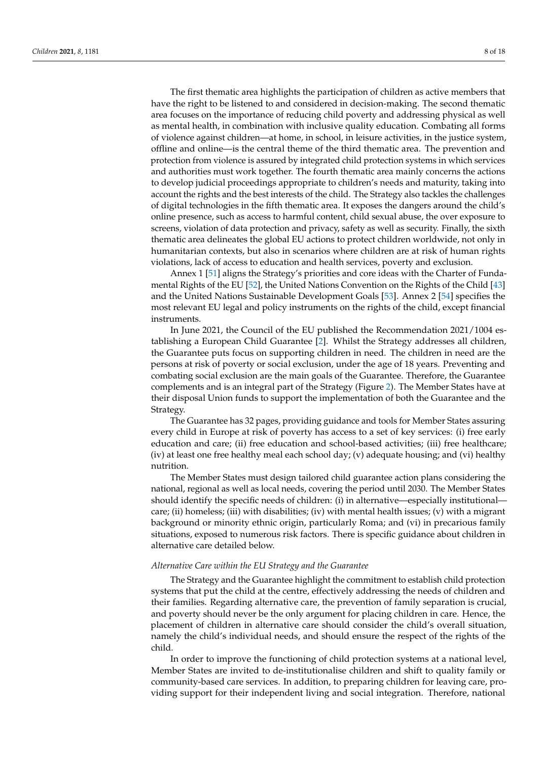The first thematic area highlights the participation of children as active members that have the right to be listened to and considered in decision-making. The second thematic area focuses on the importance of reducing child poverty and addressing physical as well as mental health, in combination with inclusive quality education. Combating all forms of violence against children—at home, in school, in leisure activities, in the justice system, offline and online—is the central theme of the third thematic area. The prevention and protection from violence is assured by integrated child protection systems in which services and authorities must work together. The fourth thematic area mainly concerns the actions to develop judicial proceedings appropriate to children's needs and maturity, taking into account the rights and the best interests of the child. The Strategy also tackles the challenges of digital technologies in the fifth thematic area. It exposes the dangers around the child's online presence, such as access to harmful content, child sexual abuse, the over exposure to screens, violation of data protection and privacy, safety as well as security. Finally, the sixth thematic area delineates the global EU actions to protect children worldwide, not only in humanitarian contexts, but also in scenarios where children are at risk of human rights violations, lack of access to education and health services, poverty and exclusion.

Annex 1 [\[51\]](#page-16-10) aligns the Strategy's priorities and core ideas with the Charter of Fundamental Rights of the EU [\[52\]](#page-16-11), the United Nations Convention on the Rights of the Child [\[43\]](#page-16-3) and the United Nations Sustainable Development Goals [\[53\]](#page-16-12). Annex 2 [\[54\]](#page-16-13) specifies the most relevant EU legal and policy instruments on the rights of the child, except financial instruments.

In June 2021, the Council of the EU published the Recommendation 2021/1004 establishing a European Child Guarantee [\[2\]](#page-14-1). Whilst the Strategy addresses all children, the Guarantee puts focus on supporting children in need. The children in need are the persons at risk of poverty or social exclusion, under the age of 18 years. Preventing and combating social exclusion are the main goals of the Guarantee. Therefore, the Guarantee complements and is an integral part of the Strategy (Figure [2\)](#page-4-0). The Member States have at their disposal Union funds to support the implementation of both the Guarantee and the Strategy.

The Guarantee has 32 pages, providing guidance and tools for Member States assuring every child in Europe at risk of poverty has access to a set of key services: (i) free early education and care; (ii) free education and school-based activities; (iii) free healthcare; (iv) at least one free healthy meal each school day; (v) adequate housing; and (vi) healthy nutrition.

The Member States must design tailored child guarantee action plans considering the national, regional as well as local needs, covering the period until 2030. The Member States should identify the specific needs of children: (i) in alternative—especially institutional care; (ii) homeless; (iii) with disabilities; (iv) with mental health issues; (v) with a migrant background or minority ethnic origin, particularly Roma; and (vi) in precarious family situations, exposed to numerous risk factors. There is specific guidance about children in alternative care detailed below.

#### *Alternative Care within the EU Strategy and the Guarantee*

The Strategy and the Guarantee highlight the commitment to establish child protection systems that put the child at the centre, effectively addressing the needs of children and their families. Regarding alternative care, the prevention of family separation is crucial, and poverty should never be the only argument for placing children in care. Hence, the placement of children in alternative care should consider the child's overall situation, namely the child's individual needs, and should ensure the respect of the rights of the child.

In order to improve the functioning of child protection systems at a national level, Member States are invited to de-institutionalise children and shift to quality family or community-based care services. In addition, to preparing children for leaving care, providing support for their independent living and social integration. Therefore, national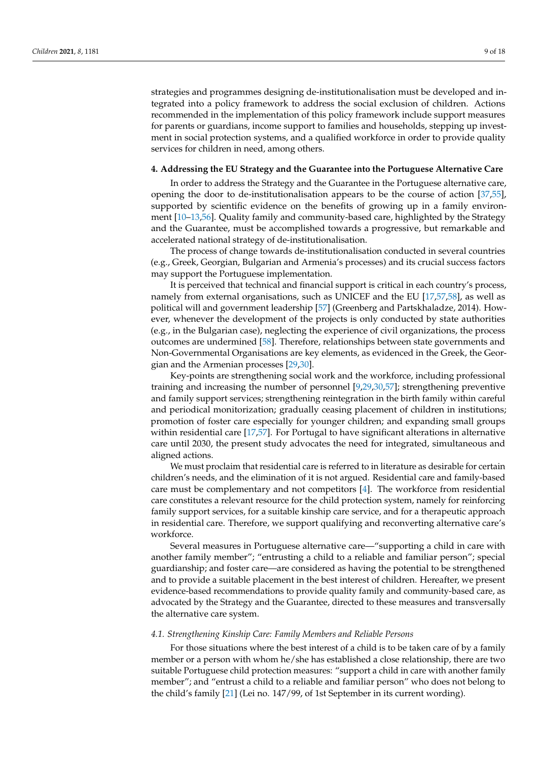strategies and programmes designing de-institutionalisation must be developed and integrated into a policy framework to address the social exclusion of children. Actions recommended in the implementation of this policy framework include support measures for parents or guardians, income support to families and households, stepping up investment in social protection systems, and a qualified workforce in order to provide quality services for children in need, among others.

#### **4. Addressing the EU Strategy and the Guarantee into the Portuguese Alternative Care**

In order to address the Strategy and the Guarantee in the Portuguese alternative care, opening the door to de-institutionalisation appears to be the course of action [\[37,](#page-15-20)[55\]](#page-16-14), supported by scientific evidence on the benefits of growing up in a family environment [\[10](#page-14-11)[–13,](#page-14-9)[56\]](#page-16-15). Quality family and community-based care, highlighted by the Strategy and the Guarantee, must be accomplished towards a progressive, but remarkable and accelerated national strategy of de-institutionalisation.

The process of change towards de-institutionalisation conducted in several countries (e.g., Greek, Georgian, Bulgarian and Armenia's processes) and its crucial success factors may support the Portuguese implementation.

It is perceived that technical and financial support is critical in each country's process, namely from external organisations, such as UNICEF and the EU [\[17](#page-15-2)[,57](#page-16-16)[,58\]](#page-16-17), as well as political will and government leadership [\[57\]](#page-16-16) (Greenberg and Partskhaladze, 2014). However, whenever the development of the projects is only conducted by state authorities (e.g., in the Bulgarian case), neglecting the experience of civil organizations, the process outcomes are undermined [\[58\]](#page-16-17). Therefore, relationships between state governments and Non-Governmental Organisations are key elements, as evidenced in the Greek, the Georgian and the Armenian processes [\[29](#page-15-12)[,30\]](#page-15-13).

Key-points are strengthening social work and the workforce, including professional training and increasing the number of personnel [\[9](#page-14-8)[,29](#page-15-12)[,30](#page-15-13)[,57\]](#page-16-16); strengthening preventive and family support services; strengthening reintegration in the birth family within careful and periodical monitorization; gradually ceasing placement of children in institutions; promotion of foster care especially for younger children; and expanding small groups within residential care [\[17](#page-15-2)[,57\]](#page-16-16). For Portugal to have significant alterations in alternative care until 2030, the present study advocates the need for integrated, simultaneous and aligned actions.

We must proclaim that residential care is referred to in literature as desirable for certain children's needs, and the elimination of it is not argued. Residential care and family-based care must be complementary and not competitors [\[4\]](#page-14-3). The workforce from residential care constitutes a relevant resource for the child protection system, namely for reinforcing family support services, for a suitable kinship care service, and for a therapeutic approach in residential care. Therefore, we support qualifying and reconverting alternative care's workforce.

Several measures in Portuguese alternative care—"supporting a child in care with another family member"; "entrusting a child to a reliable and familiar person"; special guardianship; and foster care—are considered as having the potential to be strengthened and to provide a suitable placement in the best interest of children. Hereafter, we present evidence-based recommendations to provide quality family and community-based care, as advocated by the Strategy and the Guarantee, directed to these measures and transversally the alternative care system.

#### *4.1. Strengthening Kinship Care: Family Members and Reliable Persons*

For those situations where the best interest of a child is to be taken care of by a family member or a person with whom he/she has established a close relationship, there are two suitable Portuguese child protection measures: "support a child in care with another family member"; and "entrust a child to a reliable and familiar person" who does not belong to the child's family [\[21\]](#page-15-6) (Lei no. 147/99, of 1st September in its current wording).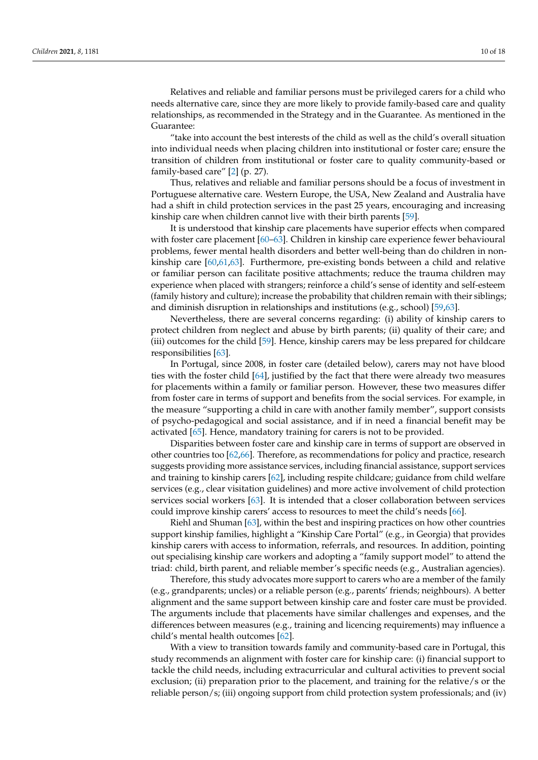Relatives and reliable and familiar persons must be privileged carers for a child who needs alternative care, since they are more likely to provide family-based care and quality relationships, as recommended in the Strategy and in the Guarantee. As mentioned in the Guarantee:

"take into account the best interests of the child as well as the child's overall situation into individual needs when placing children into institutional or foster care; ensure the transition of children from institutional or foster care to quality community-based or family-based care" [\[2\]](#page-14-1) (p. 27).

Thus, relatives and reliable and familiar persons should be a focus of investment in Portuguese alternative care. Western Europe, the USA, New Zealand and Australia have had a shift in child protection services in the past 25 years, encouraging and increasing kinship care when children cannot live with their birth parents [\[59\]](#page-16-18).

It is understood that kinship care placements have superior effects when compared with foster care placement [\[60](#page-16-19)[–63\]](#page-16-20). Children in kinship care experience fewer behavioural problems, fewer mental health disorders and better well-being than do children in nonkinship care [\[60](#page-16-19)[,61](#page-16-21)[,63\]](#page-16-20). Furthermore, pre-existing bonds between a child and relative or familiar person can facilitate positive attachments; reduce the trauma children may experience when placed with strangers; reinforce a child's sense of identity and self-esteem (family history and culture); increase the probability that children remain with their siblings; and diminish disruption in relationships and institutions (e.g., school) [\[59,](#page-16-18)[63\]](#page-16-20).

Nevertheless, there are several concerns regarding: (i) ability of kinship carers to protect children from neglect and abuse by birth parents; (ii) quality of their care; and (iii) outcomes for the child [\[59\]](#page-16-18). Hence, kinship carers may be less prepared for childcare responsibilities [\[63\]](#page-16-20).

In Portugal, since 2008, in foster care (detailed below), carers may not have blood ties with the foster child [\[64\]](#page-16-22), justified by the fact that there were already two measures for placements within a family or familiar person. However, these two measures differ from foster care in terms of support and benefits from the social services. For example, in the measure "supporting a child in care with another family member", support consists of psycho-pedagogical and social assistance, and if in need a financial benefit may be activated [\[65\]](#page-16-23). Hence, mandatory training for carers is not to be provided.

Disparities between foster care and kinship care in terms of support are observed in other countries too [\[62,](#page-16-24)[66\]](#page-17-0). Therefore, as recommendations for policy and practice, research suggests providing more assistance services, including financial assistance, support services and training to kinship carers [\[62\]](#page-16-24), including respite childcare; guidance from child welfare services (e.g., clear visitation guidelines) and more active involvement of child protection services social workers [\[63\]](#page-16-20). It is intended that a closer collaboration between services could improve kinship carers' access to resources to meet the child's needs [\[66\]](#page-17-0).

Riehl and Shuman [\[63\]](#page-16-20), within the best and inspiring practices on how other countries support kinship families, highlight a "Kinship Care Portal" (e.g., in Georgia) that provides kinship carers with access to information, referrals, and resources. In addition, pointing out specialising kinship care workers and adopting a "family support model" to attend the triad: child, birth parent, and reliable member's specific needs (e.g., Australian agencies).

Therefore, this study advocates more support to carers who are a member of the family (e.g., grandparents; uncles) or a reliable person (e.g., parents' friends; neighbours). A better alignment and the same support between kinship care and foster care must be provided. The arguments include that placements have similar challenges and expenses, and the differences between measures (e.g., training and licencing requirements) may influence a child's mental health outcomes [\[62\]](#page-16-24).

With a view to transition towards family and community-based care in Portugal, this study recommends an alignment with foster care for kinship care: (i) financial support to tackle the child needs, including extracurricular and cultural activities to prevent social exclusion; (ii) preparation prior to the placement, and training for the relative/s or the reliable person/s; (iii) ongoing support from child protection system professionals; and (iv)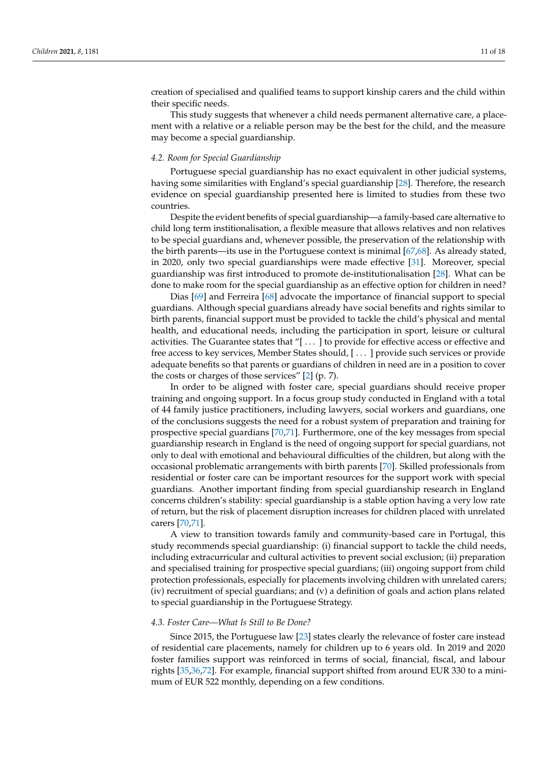creation of specialised and qualified teams to support kinship carers and the child within their specific needs.

This study suggests that whenever a child needs permanent alternative care, a placement with a relative or a reliable person may be the best for the child, and the measure may become a special guardianship.

### *4.2. Room for Special Guardianship*

Portuguese special guardianship has no exact equivalent in other judicial systems, having some similarities with England's special guardianship [\[28\]](#page-15-11). Therefore, the research evidence on special guardianship presented here is limited to studies from these two countries.

Despite the evident benefits of special guardianship—a family-based care alternative to child long term institionalisation, a flexible measure that allows relatives and non relatives to be special guardians and, whenever possible, the preservation of the relationship with the birth parents—its use in the Portuguese context is minimal [\[67](#page-17-1)[,68\]](#page-17-2). As already stated, in 2020, only two special guardianships were made effective [\[31\]](#page-15-14). Moreover, special guardianship was first introduced to promote de-institutionalisation [\[28\]](#page-15-11). What can be done to make room for the special guardianship as an effective option for children in need?

Dias [\[69\]](#page-17-3) and Ferreira [\[68\]](#page-17-2) advocate the importance of financial support to special guardians. Although special guardians already have social benefits and rights similar to birth parents, financial support must be provided to tackle the child's physical and mental health, and educational needs, including the participation in sport, leisure or cultural activities. The Guarantee states that "[ . . . ] to provide for effective access or effective and free access to key services, Member States should, [ . . . ] provide such services or provide adequate benefits so that parents or guardians of children in need are in a position to cover the costs or charges of those services" [\[2\]](#page-14-1) (p. 7).

In order to be aligned with foster care, special guardians should receive proper training and ongoing support. In a focus group study conducted in England with a total of 44 family justice practitioners, including lawyers, social workers and guardians, one of the conclusions suggests the need for a robust system of preparation and training for prospective special guardians [\[70,](#page-17-4)[71\]](#page-17-5). Furthermore, one of the key messages from special guardianship research in England is the need of ongoing support for special guardians, not only to deal with emotional and behavioural difficulties of the children, but along with the occasional problematic arrangements with birth parents [\[70\]](#page-17-4). Skilled professionals from residential or foster care can be important resources for the support work with special guardians. Another important finding from special guardianship research in England concerns children's stability: special guardianship is a stable option having a very low rate of return, but the risk of placement disruption increases for children placed with unrelated carers [\[70,](#page-17-4)[71\]](#page-17-5).

A view to transition towards family and community-based care in Portugal, this study recommends special guardianship: (i) financial support to tackle the child needs, including extracurricular and cultural activities to prevent social exclusion; (ii) preparation and specialised training for prospective special guardians; (iii) ongoing support from child protection professionals, especially for placements involving children with unrelated carers; (iv) recruitment of special guardians; and (v) a definition of goals and action plans related to special guardianship in the Portuguese Strategy.

#### *4.3. Foster Care—What Is Still to Be Done?*

Since 2015, the Portuguese law [\[23\]](#page-15-23) states clearly the relevance of foster care instead of residential care placements, namely for children up to 6 years old. In 2019 and 2020 foster families support was reinforced in terms of social, financial, fiscal, and labour rights [\[35,](#page-15-18)[36,](#page-15-19)[72\]](#page-17-6). For example, financial support shifted from around EUR 330 to a minimum of EUR 522 monthly, depending on a few conditions.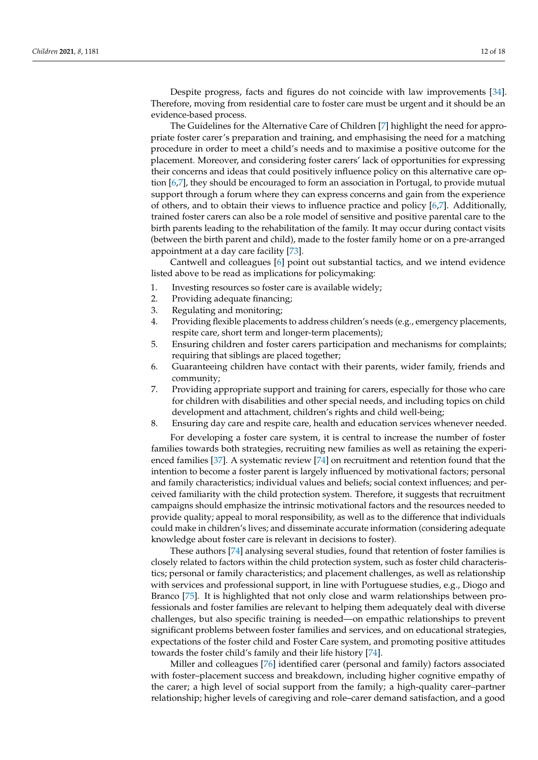Despite progress, facts and figures do not coincide with law improvements [\[34\]](#page-15-17). Therefore, moving from residential care to foster care must be urgent and it should be an evidence-based process.

The Guidelines for the Alternative Care of Children [\[7\]](#page-14-6) highlight the need for appropriate foster carer's preparation and training, and emphasising the need for a matching procedure in order to meet a child's needs and to maximise a positive outcome for the placement. Moreover, and considering foster carers' lack of opportunities for expressing their concerns and ideas that could positively influence policy on this alternative care option [\[6](#page-14-5)[,7\]](#page-14-6), they should be encouraged to form an association in Portugal, to provide mutual support through a forum where they can express concerns and gain from the experience of others, and to obtain their views to influence practice and policy [\[6](#page-14-5)[,7\]](#page-14-6). Additionally, trained foster carers can also be a role model of sensitive and positive parental care to the birth parents leading to the rehabilitation of the family. It may occur during contact visits (between the birth parent and child), made to the foster family home or on a pre-arranged appointment at a day care facility [\[73\]](#page-17-7).

Cantwell and colleagues [\[6\]](#page-14-5) point out substantial tactics, and we intend evidence listed above to be read as implications for policymaking:

- 1. Investing resources so foster care is available widely;
- 2. Providing adequate financing;
- 3. Regulating and monitoring;
- 4. Providing flexible placements to address children's needs (e.g., emergency placements, respite care, short term and longer-term placements);
- 5. Ensuring children and foster carers participation and mechanisms for complaints; requiring that siblings are placed together;
- 6. Guaranteeing children have contact with their parents, wider family, friends and community;
- 7. Providing appropriate support and training for carers, especially for those who care for children with disabilities and other special needs, and including topics on child development and attachment, children's rights and child well-being;
- 8. Ensuring day care and respite care, health and education services whenever needed.

For developing a foster care system, it is central to increase the number of foster families towards both strategies, recruiting new families as well as retaining the experienced families [\[37\]](#page-15-20). A systematic review [\[74\]](#page-17-8) on recruitment and retention found that the intention to become a foster parent is largely influenced by motivational factors; personal and family characteristics; individual values and beliefs; social context influences; and perceived familiarity with the child protection system. Therefore, it suggests that recruitment campaigns should emphasize the intrinsic motivational factors and the resources needed to provide quality; appeal to moral responsibility, as well as to the difference that individuals could make in children's lives; and disseminate accurate information (considering adequate knowledge about foster care is relevant in decisions to foster).

These authors [\[74\]](#page-17-8) analysing several studies, found that retention of foster families is closely related to factors within the child protection system, such as foster child characteristics; personal or family characteristics; and placement challenges, as well as relationship with services and professional support, in line with Portuguese studies, e.g., Diogo and Branco [\[75\]](#page-17-9). It is highlighted that not only close and warm relationships between professionals and foster families are relevant to helping them adequately deal with diverse challenges, but also specific training is needed—on empathic relationships to prevent significant problems between foster families and services, and on educational strategies, expectations of the foster child and Foster Care system, and promoting positive attitudes towards the foster child's family and their life history [\[74\]](#page-17-8).

Miller and colleagues [\[76\]](#page-17-10) identified carer (personal and family) factors associated with foster–placement success and breakdown, including higher cognitive empathy of the carer; a high level of social support from the family; a high-quality carer–partner relationship; higher levels of caregiving and role–carer demand satisfaction, and a good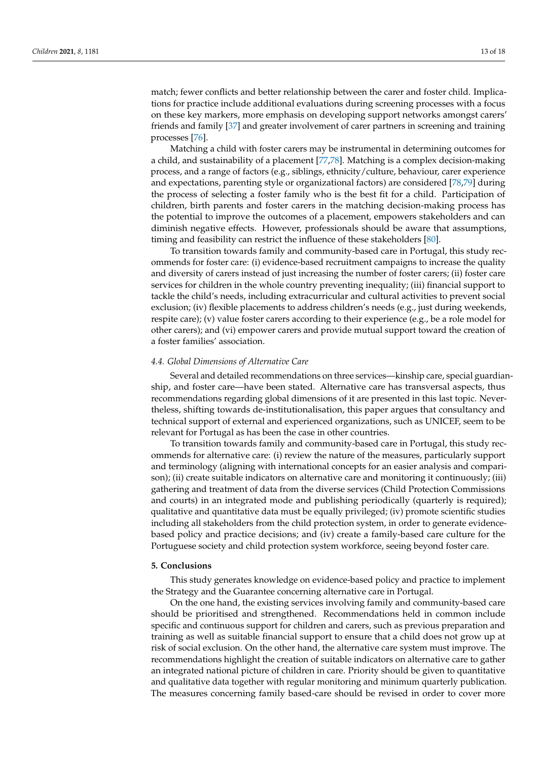match; fewer conflicts and better relationship between the carer and foster child. Implications for practice include additional evaluations during screening processes with a focus on these key markers, more emphasis on developing support networks amongst carers' friends and family [\[37\]](#page-15-20) and greater involvement of carer partners in screening and training processes [\[76\]](#page-17-10).

Matching a child with foster carers may be instrumental in determining outcomes for a child, and sustainability of a placement [\[77,](#page-17-11)[78\]](#page-17-12). Matching is a complex decision-making process, and a range of factors (e.g., siblings, ethnicity/culture, behaviour, carer experience and expectations, parenting style or organizational factors) are considered [\[78](#page-17-12)[,79\]](#page-17-13) during the process of selecting a foster family who is the best fit for a child. Participation of children, birth parents and foster carers in the matching decision-making process has the potential to improve the outcomes of a placement, empowers stakeholders and can diminish negative effects. However, professionals should be aware that assumptions, timing and feasibility can restrict the influence of these stakeholders [\[80\]](#page-17-14).

To transition towards family and community-based care in Portugal, this study recommends for foster care: (i) evidence-based recruitment campaigns to increase the quality and diversity of carers instead of just increasing the number of foster carers; (ii) foster care services for children in the whole country preventing inequality; (iii) financial support to tackle the child's needs, including extracurricular and cultural activities to prevent social exclusion; (iv) flexible placements to address children's needs (e.g., just during weekends, respite care); (v) value foster carers according to their experience (e.g., be a role model for other carers); and (vi) empower carers and provide mutual support toward the creation of a foster families' association.

## *4.4. Global Dimensions of Alternative Care*

Several and detailed recommendations on three services—kinship care, special guardianship, and foster care—have been stated. Alternative care has transversal aspects, thus recommendations regarding global dimensions of it are presented in this last topic. Nevertheless, shifting towards de-institutionalisation, this paper argues that consultancy and technical support of external and experienced organizations, such as UNICEF, seem to be relevant for Portugal as has been the case in other countries.

To transition towards family and community-based care in Portugal, this study recommends for alternative care: (i) review the nature of the measures, particularly support and terminology (aligning with international concepts for an easier analysis and comparison); (ii) create suitable indicators on alternative care and monitoring it continuously; (iii) gathering and treatment of data from the diverse services (Child Protection Commissions and courts) in an integrated mode and publishing periodically (quarterly is required); qualitative and quantitative data must be equally privileged; (iv) promote scientific studies including all stakeholders from the child protection system, in order to generate evidencebased policy and practice decisions; and (iv) create a family-based care culture for the Portuguese society and child protection system workforce, seeing beyond foster care.

#### **5. Conclusions**

This study generates knowledge on evidence-based policy and practice to implement the Strategy and the Guarantee concerning alternative care in Portugal.

On the one hand, the existing services involving family and community-based care should be prioritised and strengthened. Recommendations held in common include specific and continuous support for children and carers, such as previous preparation and training as well as suitable financial support to ensure that a child does not grow up at risk of social exclusion. On the other hand, the alternative care system must improve. The recommendations highlight the creation of suitable indicators on alternative care to gather an integrated national picture of children in care. Priority should be given to quantitative and qualitative data together with regular monitoring and minimum quarterly publication. The measures concerning family based-care should be revised in order to cover more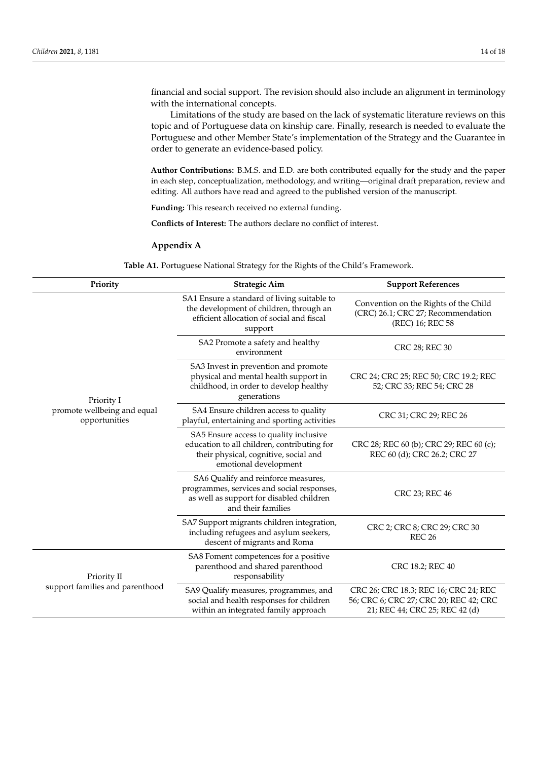financial and social support. The revision should also include an alignment in terminology with the international concepts.

Limitations of the study are based on the lack of systematic literature reviews on this topic and of Portuguese data on kinship care. Finally, research is needed to evaluate the Portuguese and other Member State's implementation of the Strategy and the Guarantee in order to generate an evidence-based policy.

**Author Contributions:** B.M.S. and E.D. are both contributed equally for the study and the paper in each step, conceptualization, methodology, and writing—original draft preparation, review and editing. All authors have read and agreed to the published version of the manuscript.

**Funding:** This research received no external funding.

**Conflicts of Interest:** The authors declare no conflict of interest.

## <span id="page-13-0"></span>**Appendix A**

**Table A1.** Portuguese National Strategy for the Rights of the Child's Framework.

| Priority                                     | <b>Strategic Aim</b>                                                                                                                                    | <b>Support References</b>                                                                                         |
|----------------------------------------------|---------------------------------------------------------------------------------------------------------------------------------------------------------|-------------------------------------------------------------------------------------------------------------------|
|                                              | SA1 Ensure a standard of living suitable to<br>the development of children, through an<br>efficient allocation of social and fiscal<br>support          | Convention on the Rights of the Child<br>(CRC) 26.1; CRC 27; Recommendation<br>(REC) 16; REC 58                   |
|                                              | SA2 Promote a safety and healthy<br>environment                                                                                                         | CRC 28; REC 30                                                                                                    |
| Priority I                                   | SA3 Invest in prevention and promote<br>physical and mental health support in<br>childhood, in order to develop healthy<br>generations                  | CRC 24; CRC 25; REC 50; CRC 19.2; REC<br>52; CRC 33; REC 54; CRC 28                                               |
| promote wellbeing and equal<br>opportunities | SA4 Ensure children access to quality<br>playful, entertaining and sporting activities                                                                  | CRC 31; CRC 29; REC 26                                                                                            |
|                                              | SA5 Ensure access to quality inclusive<br>education to all children, contributing for<br>their physical, cognitive, social and<br>emotional development | CRC 28; REC 60 (b); CRC 29; REC 60 (c);<br>REC 60 (d); CRC 26.2; CRC 27                                           |
|                                              | SA6 Qualify and reinforce measures,<br>programmes, services and social responses,<br>as well as support for disabled children<br>and their families     | CRC 23; REC 46                                                                                                    |
|                                              | SA7 Support migrants children integration,<br>including refugees and asylum seekers,<br>descent of migrants and Roma                                    | CRC 2; CRC 8; CRC 29; CRC 30<br><b>REC 26</b>                                                                     |
| Priority II                                  | SA8 Foment competences for a positive<br>parenthood and shared parenthood<br>responsability                                                             | CRC 18.2; REC 40                                                                                                  |
| support families and parenthood              | SA9 Qualify measures, programmes, and<br>social and health responses for children<br>within an integrated family approach                               | CRC 26; CRC 18.3; REC 16; CRC 24; REC<br>56; CRC 6; CRC 27; CRC 20; REC 42; CRC<br>21; REC 44; CRC 25; REC 42 (d) |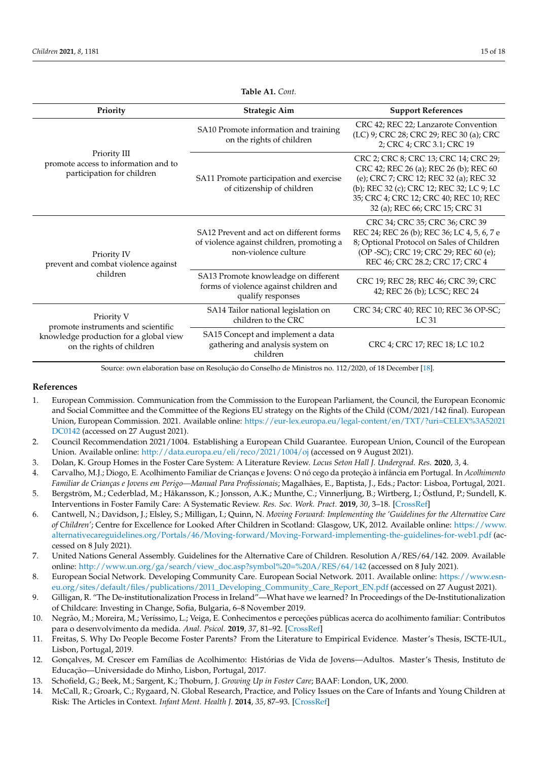| Priority                                                                           | <b>Strategic Aim</b>                                                                                         | <b>Support References</b>                                                                                                                                                                                                                          |  |
|------------------------------------------------------------------------------------|--------------------------------------------------------------------------------------------------------------|----------------------------------------------------------------------------------------------------------------------------------------------------------------------------------------------------------------------------------------------------|--|
|                                                                                    | SA10 Promote information and training<br>on the rights of children                                           | CRC 42; REC 22; Lanzarote Convention<br>(LC) 9; CRC 28; CRC 29; REC 30 (a); CRC<br>2; CRC 4; CRC 3.1; CRC 19                                                                                                                                       |  |
| Priority III<br>promote access to information and to<br>participation for children | SA11 Promote participation and exercise<br>of citizenship of children                                        | CRC 2; CRC 8; CRC 13; CRC 14; CRC 29;<br>CRC 42; REC 26 (a); REC 26 (b); REC 60<br>(e); CRC 7; CRC 12; REC 32 (a); REC 32<br>(b); REC 32 (c); CRC 12; REC 32; LC 9; LC<br>35; CRC 4; CRC 12; CRC 40; REC 10; REC<br>32 (a); REC 66; CRC 15; CRC 31 |  |
| Priority IV<br>prevent and combat violence against                                 | SA12 Prevent and act on different forms<br>of violence against children, promoting a<br>non-violence culture | CRC 34; CRC 35; CRC 36; CRC 39<br>REC 24; REC 26 (b); REC 36; LC 4, 5, 6, 7 e<br>8; Optional Protocol on Sales of Children<br>(OP -SC); CRC 19; CRC 29; REC 60 (e);<br>REC 46; CRC 28.2; CRC 17; CRC 4                                             |  |
| children                                                                           | SA13 Promote knowleadge on different<br>forms of violence against children and<br>qualify responses          | CRC 19; REC 28; REC 46; CRC 39; CRC<br>42; REC 26 (b); LC5C; REC 24                                                                                                                                                                                |  |
| Priority V<br>promote instruments and scientific                                   | SA14 Tailor national legislation on<br>children to the CRC                                                   | CRC 34; CRC 40; REC 10; REC 36 OP-SC;<br>LC 31                                                                                                                                                                                                     |  |
| knowledge production for a global view<br>on the rights of children                | SA15 Concept and implement a data<br>gathering and analysis system on<br>children                            | CRC 4; CRC 17; REC 18; LC 10.2                                                                                                                                                                                                                     |  |

**Table A1.** *Cont.*

Source: own elaboration base on Resolução do Conselho de Ministros no. 112/2020, of 18 December [\[18\]](#page-15-3).

### **References**

- <span id="page-14-0"></span>1. European Commission. Communication from the Commission to the European Parliament, the Council, the European Economic and Social Committee and the Committee of the Regions EU strategy on the Rights of the Child (COM/2021/142 final). European Union, European Commission. 2021. Available online: [https://eur-lex.europa.eu/legal-content/en/TXT/?uri=CELEX%3A52021](https://eur-lex.europa.eu/legal-content/en/TXT/?uri=CELEX%3A52021DC0142) [DC0142](https://eur-lex.europa.eu/legal-content/en/TXT/?uri=CELEX%3A52021DC0142) (accessed on 27 August 2021).
- <span id="page-14-1"></span>2. Council Recommendation 2021/1004. Establishing a European Child Guarantee. European Union, Council of the European Union. Available online: <http://data.europa.eu/eli/reco/2021/1004/oj> (accessed on 9 August 2021).
- <span id="page-14-2"></span>3. Dolan, K. Group Homes in the Foster Care System: A Literature Review. *Locus Seton Hall J. Undergrad. Res.* **2020**, *3*, 4.
- <span id="page-14-3"></span>4. Carvalho, M.J.; Diogo, E. Acolhimento Familiar de Crianças e Jovens: O nó cego da proteção à infância em Portugal. In *Acolhimento Familiar de Crianças e Jovens em Perigo—Manual Para Profissionais*; Magalhães, E., Baptista, J., Eds.; Pactor: Lisboa, Portugal, 2021.
- <span id="page-14-4"></span>5. Bergström, M.; Cederblad, M.; Håkansson, K.; Jonsson, A.K.; Munthe, C.; Vinnerljung, B.; Wirtberg, I.; Östlund, P.; Sundell, K. Interventions in Foster Family Care: A Systematic Review. *Res. Soc. Work. Pract.* **2019**, *30*, 3–18. [\[CrossRef\]](http://doi.org/10.1177/1049731519832101)
- <span id="page-14-5"></span>6. Cantwell, N.; Davidson, J.; Elsley, S.; Milligan, I.; Quinn, N. *Moving Forward: Implementing the 'Guidelines for the Alternative Care of Children'*; Centre for Excellence for Looked After Children in Scotland: Glasgow, UK, 2012. Available online: [https://www.](https://www.alternativecareguidelines.org/Portals/46/Moving-forward/Moving-Forward-implementing-the-guidelines-for-web1.pdf) [alternativecareguidelines.org/Portals/46/Moving-forward/Moving-Forward-implementing-the-guidelines-for-web1.pdf](https://www.alternativecareguidelines.org/Portals/46/Moving-forward/Moving-Forward-implementing-the-guidelines-for-web1.pdf) (accessed on 8 July 2021).
- <span id="page-14-6"></span>7. United Nations General Assembly. Guidelines for the Alternative Care of Children. Resolution A/RES/64/142. 2009. Available online: [http://www.un.org/ga/search/view\\_doc.asp?symbol%20=%20A/RES/64/142](http://www.un.org/ga/search/view_doc.asp?symbol%20=%20A/RES/64/142) (accessed on 8 July 2021).
- <span id="page-14-7"></span>8. European Social Network. Developing Community Care. European Social Network. 2011. Available online: [https://www.esn](https://www.esn-eu.org/sites/default/files/publications/2011_Developing_Community_Care_Report_EN.pdf)[eu.org/sites/default/files/publications/2011\\_Developing\\_Community\\_Care\\_Report\\_EN.pdf](https://www.esn-eu.org/sites/default/files/publications/2011_Developing_Community_Care_Report_EN.pdf) (accessed on 27 August 2021).
- <span id="page-14-8"></span>9. Gilligan, R. "The De-institutionalization Process in Ireland"—What have we learned? In Proceedings of the De-Institutionalization of Childcare: Investing in Change, Sofia, Bulgaria, 6–8 November 2019.
- <span id="page-14-11"></span>10. Negrão, M.; Moreira, M.; Veríssimo, L.; Veiga, E. Conhecimentos e perceções públicas acerca do acolhimento familiar: Contributos para o desenvolvimento da medida. *Anal. Psicol.* **2019**, *37*, 81–92. [\[CrossRef\]](http://doi.org/10.14417/ap.1564)
- 11. Freitas, S. Why Do People Become Foster Parents? From the Literature to Empirical Evidence. Master's Thesis, ISCTE-IUL, Lisbon, Portugal, 2019.
- 12. Gonçalves, M. Crescer em Famílias de Acolhimento: Histórias de Vida de Jovens—Adultos. Master's Thesis, Instituto de Educação—Universidade do Minho, Lisbon, Portugal, 2017.
- <span id="page-14-9"></span>13. Schofield, G.; Beek, M.; Sargent, K.; Thoburn, J. *Growing Up in Foster Care*; BAAF: London, UK, 2000.
- <span id="page-14-10"></span>14. McCall, R.; Groark, C.; Rygaard, N. Global Research, Practice, and Policy Issues on the Care of Infants and Young Children at Risk: The Articles in Context. *Infant Ment. Health J.* **2014**, *35*, 87–93. [\[CrossRef\]](http://doi.org/10.1002/imhj.21441)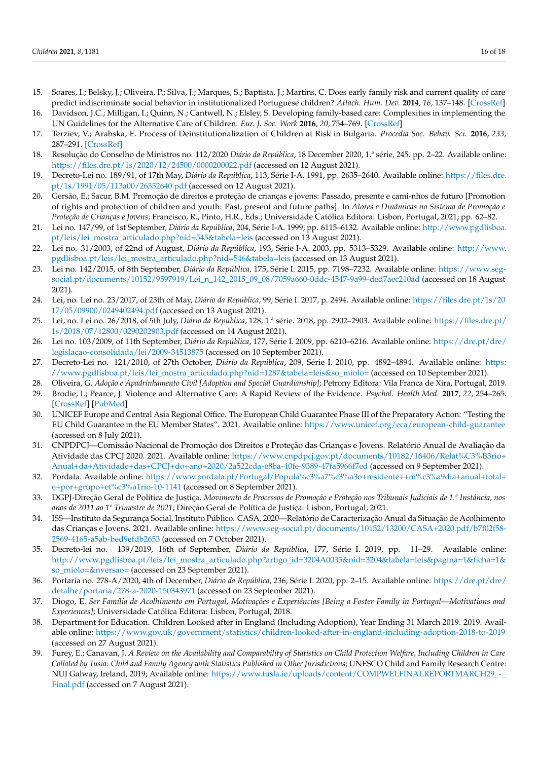- <span id="page-15-0"></span>15. Soares, I.; Belsky, J.; Oliveira, P.; Silva, J.; Marques, S.; Baptista, J.; Martins, C. Does early family risk and current quality of care predict indiscriminate social behavior in institutionalized Portuguese children? *Attach. Hum. Dev.* **2014**, *16*, 137–148. [\[CrossRef\]](http://doi.org/10.1080/14616734.2013.869237)
- <span id="page-15-1"></span>16. Davidson, J.C.; Milligan, I.; Quinn, N.; Cantwell, N.; Elsley, S. Developing family-based care: Complexities in implementing the UN Guidelines for the Alternative Care of Children. *Eur. J. Soc. Work* **2016**, *20*, 754–769. [\[CrossRef\]](http://doi.org/10.1080/13691457.2016.1255591)
- <span id="page-15-2"></span>17. Terziev, V.; Arabska, E. Process of Deinstitutionalization of Children at Risk in Bulgaria. *Procedia Soc. Behav. Sci.* **2016**, *233*, 287–291. [\[CrossRef\]](http://doi.org/10.1016/j.sbspro.2016.10.130)
- <span id="page-15-3"></span>18. Resolução do Conselho de Ministros no. 112/2020 *Diário da República*, 18 December 2020, 1.ª série, 245. pp. 2–22. Available online: <https://files.dre.pt/1s/2020/12/24500/0000200022.pdf> (accessed on 12 August 2021).
- <span id="page-15-4"></span>19. Decreto-Lei no. 189/91, of 17th May, *Diário da República*, 113, Série I-A. 1991, pp. 2635–2640. Available online: [https://files.dre.](https://files.dre.pt/1s/1991/05/113a00/26352640.pdf) [pt/1s/1991/05/113a00/26352640.pdf](https://files.dre.pt/1s/1991/05/113a00/26352640.pdf) (accessed on 12 August 2021).
- <span id="page-15-5"></span>20. Gersão, E.; Sacur, B.M. Promoção de direitos e proteção de crianças e jovens: Passado, presente e cami-nhos de futuro [Promotion of rights and protection of children and youth: Past, present and future paths]. In *Atores e Dinâmicas no Sistema de Promoção e Proteção de Crianças e Jovens*; Francisco, R., Pinto, H.R., Eds.; Universidade Católica Editora: Lisbon, Portugal, 2021; pp. 62–82.
- <span id="page-15-6"></span>21. Lei no. 147/99, of 1st September, *Diário da República*, 204, Série I-A. 1999, pp. 6115–6132. Available online: [http://www.pgdlisboa.](http://www.pgdlisboa.pt/leis/lei_mostra_articulado.php?nid=545&tabela=leis) [pt/leis/lei\\_mostra\\_articulado.php?nid=545&tabela=leis](http://www.pgdlisboa.pt/leis/lei_mostra_articulado.php?nid=545&tabela=leis) (accessed on 13 August 2021).
- <span id="page-15-7"></span>22. Lei no. 31/2003, of 22nd of August, *Diário da República*, 193, Série I-A. 2003, pp. 5313–5329. Available online: [http://www.](http://www.pgdlisboa.pt/leis/lei_mostra_articulado.php?nid=546&tabela=leis) [pgdlisboa.pt/leis/lei\\_mostra\\_articulado.php?nid=546&tabela=leis](http://www.pgdlisboa.pt/leis/lei_mostra_articulado.php?nid=546&tabela=leis) (accessed on 13 August 2021).
- <span id="page-15-23"></span>23. Lei no. 142/2015, of 8th September, *Diário da República,* 175, Série I. 2015, pp. 7198–7232. Available online: [https://www.seg](https://www.seg-social.pt/documents/10152/9597919/Lei_n_142_2015_09_08/7059a660-0ddc-4547-9a99-ded7aec210ad)[social.pt/documents/10152/9597919/Lei\\_n\\_142\\_2015\\_09\\_08/7059a660-0ddc-4547-9a99-ded7aec210ad](https://www.seg-social.pt/documents/10152/9597919/Lei_n_142_2015_09_08/7059a660-0ddc-4547-9a99-ded7aec210ad) (accessed on 18 August 2021).
- 24. Lei, no. Lei no. 23/2017, of 23th of May, *Diário da República*, 99, Série I. 2017, p. 2494. Available online: [https://files.dre.pt/1s/20](https://files.dre.pt/1s/2017/05/09900/0249402494.pdf) [17/05/09900/0249402494.pdf](https://files.dre.pt/1s/2017/05/09900/0249402494.pdf) (accessed on 13 August 2021).
- <span id="page-15-8"></span>25. Lei, no. Lei no. 26/2018, of 5th July, *Diário da República*, 128, 1.ª série. 2018, pp. 2902–2903. Available online: [https://files.dre.pt/](https://files.dre.pt/1s/2018/07/12800/0290202903.pdf) [1s/2018/07/12800/0290202903.pdf](https://files.dre.pt/1s/2018/07/12800/0290202903.pdf) (accessed on 14 August 2021).
- <span id="page-15-9"></span>26. Lei no. 103/2009, of 11th September, *Diário da República*, 177, Série I. 2009, pp. 6210–6216. Available online: [https://dre.pt/dre/](https://dre.pt/dre/legislacao-consolidada/lei/2009-34513875) [legislacao-consolidada/lei/2009-34513875](https://dre.pt/dre/legislacao-consolidada/lei/2009-34513875) (accessed on 10 September 2021).
- <span id="page-15-10"></span>27. Decreto-Lei no. 121/2010, of 27th October, *Diário da República*, 209, Série I. 2010, pp. 4892–4894. Available online: [https:](https://www.pgdlisboa.pt/leis/lei_mostra_articulado.php?nid=1287&tabela=leis&so_miolo=) [//www.pgdlisboa.pt/leis/lei\\_mostra\\_articulado.php?nid=1287&tabela=leis&so\\_miolo=](https://www.pgdlisboa.pt/leis/lei_mostra_articulado.php?nid=1287&tabela=leis&so_miolo=) (accessed on 10 September 2021).
- <span id="page-15-11"></span>28. Oliveira, G. *Adoção e Apadrinhamento Civil [Adoption and Special Guardianship]*; Petrony Editora: Vila Franca de Xira, Portugal, 2019.
- <span id="page-15-12"></span>29. Brodie, I.; Pearce, J. Violence and Alternative Care: A Rapid Review of the Evidence. *Psychol. Health Med.* **2017**, *22*, 254–265. [\[CrossRef\]](http://doi.org/10.1080/13548506.2017.1281980) [\[PubMed\]](http://www.ncbi.nlm.nih.gov/pubmed/28253749)
- <span id="page-15-13"></span>30. UNICEF Europe and Central Asia Regional Office. The European Child Guarantee Phase III of the Preparatory Action: "Testing the EU Child Guarantee in the EU Member States". 2021. Available online: <https://www.unicef.org/eca/european-child-guarantee> (accessed on 8 July 2021).
- <span id="page-15-14"></span>31. CNPDPCJ—Comissão Nacional de Promoção dos Direitos e Proteção das Crianças e Jovens. Relatório Anual de Avaliação da Atividade das CPCJ 2020. 2021. Available online: [https://www.cnpdpcj.gov.pt/documents/10182/16406/Relat%C3%B3rio+](https://www.cnpdpcj.gov.pt/documents/10182/16406/Relat%C3%B3rio+Anual+da+Atividade+das+CPCJ+do+ano+2020/2a522cda-e8ba-40fe-9389-47fa5966f7ed) [Anual+da+Atividade+das+CPCJ+do+ano+2020/2a522cda-e8ba-40fe-9389-47fa5966f7ed](https://www.cnpdpcj.gov.pt/documents/10182/16406/Relat%C3%B3rio+Anual+da+Atividade+das+CPCJ+do+ano+2020/2a522cda-e8ba-40fe-9389-47fa5966f7ed) (accessed on 9 September 2021).
- <span id="page-15-15"></span>32. Pordata. Available online: [https://www.pordata.pt/Portugal/Popula%c3%a7%c3%a3o+residente++m%c3%a9dia+anual+total+](https://www.pordata.pt/Portugal/Popula%c3%a7%c3%a3o+residente++m%c3%a9dia+anual+total+e+por+grupo+et%c3%a1rio-10-1141) [e+por+grupo+et%c3%a1rio-10-1141](https://www.pordata.pt/Portugal/Popula%c3%a7%c3%a3o+residente++m%c3%a9dia+anual+total+e+por+grupo+et%c3%a1rio-10-1141) (accessed on 8 September 2021).
- <span id="page-15-16"></span>33. DGPJ-Direção Geral de Política de Justiça. *Movimento de Processos de Promoção e Proteção nos Tribunais Judiciais de 1.ª Instância, nos anos de 2011 ao 1º Trimestre de 2021*; Direção Geral de Política de Justiça: Lisbon, Portugal, 2021.
- <span id="page-15-17"></span>34. ISS—Instituto da Segurança Social, Instituto Público. CASA, 2020—Relatório de Caracterização Anual da Situação de Acolhimento das Crianças e Jovens. 2021. Available online: [https://www.seg-social.pt/documents/10152/13200/CASA+2020.pdf/b7f02f58-](https://www.seg-social.pt/documents/10152/13200/CASA+2020.pdf/b7f02f58-2569-4165-a5ab-bed9efdb2653) [2569-4165-a5ab-bed9efdb2653](https://www.seg-social.pt/documents/10152/13200/CASA+2020.pdf/b7f02f58-2569-4165-a5ab-bed9efdb2653) (accessed on 7 October 2021).
- <span id="page-15-18"></span>35. Decreto-lei no. 139/2019, 16th of September, *Diário da República*, 177, Série I. 2019, pp. 11–29. Available online: [http://www.pgdlisboa.pt/leis/lei\\_mostra\\_articulado.php?artigo\\_id=3204A0035&nid=3204&tabela=leis&pagina=1&ficha=1&](http://www.pgdlisboa.pt/leis/lei_mostra_articulado.php?artigo_id=3204A0035&nid=3204&tabela=leis&pagina=1&ficha=1&so_miolo=&nversao=) [so\\_miolo=&nversao=](http://www.pgdlisboa.pt/leis/lei_mostra_articulado.php?artigo_id=3204A0035&nid=3204&tabela=leis&pagina=1&ficha=1&so_miolo=&nversao=) (accessed on 23 September 2021).
- <span id="page-15-19"></span>36. Portaria no. 278-A/2020, 4th of December, *Diário da República*, 236, Série I. 2020, pp. 2–15. Available online: [https://dre.pt/dre/](https://dre.pt/dre/detalhe/portaria/278-a-2020-150343971) [detalhe/portaria/278-a-2020-150343971](https://dre.pt/dre/detalhe/portaria/278-a-2020-150343971) (accessed on 23 September 2021).
- <span id="page-15-20"></span>37. Diogo, E. *Ser Família de Acolhimento em Portugal, Motivações e Experiências [Being a Foster Family in Portugal—Motivations and Experiences]*; Universidade Católica Editora: Lisbon, Portugal, 2018.
- <span id="page-15-21"></span>38. Department for Education. Children Looked after in England (Including Adoption), Year Ending 31 March 2019. 2019. Available online: <https://www.gov.uk/government/statistics/children-looked-after-in-england-including-adoption-2018-to-2019> (accessed on 27 August 2021).
- <span id="page-15-22"></span>39. Furey, E.; Canavan, J. *A Review on the Availability and Comparability of Statistics on Child Protection Welfare, Including Children in Care Collated by Tusia: Child and Family Agency with Statistics Published in Other Jurisdictions*; UNESCO Child and Family Research Centre: NUI Galway, Ireland, 2019; Available online: [https://www.tusla.ie/uploads/content/COMPWELFINALREPORTMARCH29\\_-\\_](https://www.tusla.ie/uploads/content/COMPWELFINALREPORTMARCH29_-_Final.pdf) [Final.pdf](https://www.tusla.ie/uploads/content/COMPWELFINALREPORTMARCH29_-_Final.pdf) (accessed on 7 August 2021).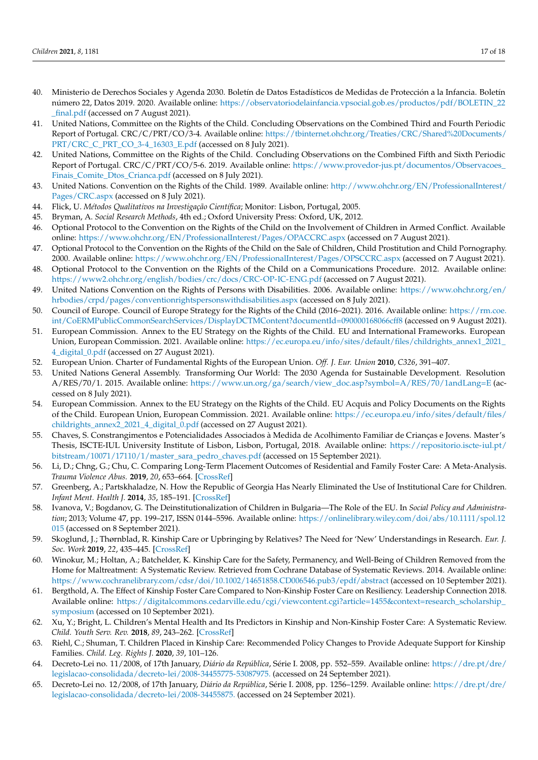- <span id="page-16-0"></span>40. Ministerio de Derechos Sociales y Agenda 2030. Boletín de Datos Estadísticos de Medidas de Protección a la Infancia. Boletín número 22, Datos 2019. 2020. Available online: [https://observatoriodelainfancia.vpsocial.gob.es/productos/pdf/BOLETIN\\_22](https://observatoriodelainfancia.vpsocial.gob.es/productos/pdf/BOLETIN_22_final.pdf) [\\_final.pdf](https://observatoriodelainfancia.vpsocial.gob.es/productos/pdf/BOLETIN_22_final.pdf) (accessed on 7 August 2021).
- <span id="page-16-1"></span>41. United Nations, Committee on the Rights of the Child. Concluding Observations on the Combined Third and Fourth Periodic Report of Portugal. CRC/C/PRT/CO/3-4. Available online: [https://tbinternet.ohchr.org/Treaties/CRC/Shared%20Documents/](https://tbinternet.ohchr.org/Treaties/CRC/Shared%20Documents/PRT/CRC_C_PRT_CO_3-4_16303_E.pdf) [PRT/CRC\\_C\\_PRT\\_CO\\_3-4\\_16303\\_E.pdf](https://tbinternet.ohchr.org/Treaties/CRC/Shared%20Documents/PRT/CRC_C_PRT_CO_3-4_16303_E.pdf) (accessed on 8 July 2021).
- <span id="page-16-2"></span>42. United Nations, Committee on the Rights of the Child. Concluding Observations on the Combined Fifth and Sixth Periodic Report of Portugal. CRC/C/PRT/CO/5-6. 2019. Available online: [https://www.provedor-jus.pt/documentos/Observacoes\\_](https://www.provedor-jus.pt/documentos/Observacoes_Finais_Comite_Dtos_Crianca.pdf) [Finais\\_Comite\\_Dtos\\_Crianca.pdf](https://www.provedor-jus.pt/documentos/Observacoes_Finais_Comite_Dtos_Crianca.pdf) (accessed on 8 July 2021).
- <span id="page-16-3"></span>43. United Nations. Convention on the Rights of the Child. 1989. Available online: [http://www.ohchr.org/EN/ProfessionalInterest/](http://www.ohchr.org/EN/ProfessionalInterest/Pages/CRC.aspx) [Pages/CRC.aspx](http://www.ohchr.org/EN/ProfessionalInterest/Pages/CRC.aspx) (accessed on 8 July 2021).
- <span id="page-16-4"></span>44. Flick, U. *Métodos Qualitativos na Investigação Científica*; Monitor: Lisbon, Portugal, 2005.
- <span id="page-16-5"></span>45. Bryman, A. *Social Research Methods*, 4th ed.; Oxford University Press: Oxford, UK, 2012.
- <span id="page-16-6"></span>46. Optional Protocol to the Convention on the Rights of the Child on the Involvement of Children in Armed Conflict. Available online: <https://www.ohchr.org/EN/ProfessionalInterest/Pages/OPACCRC.aspx> (accessed on 7 August 2021).
- 47. Optional Protocol to the Convention on the Rights of the Child on the Sale of Children, Child Prostitution and Child Pornography. 2000. Available online: <https://www.ohchr.org/EN/ProfessionalInterest/Pages/OPSCCRC.aspx> (accessed on 7 August 2021).
- <span id="page-16-7"></span>48. Optional Protocol to the Convention on the Rights of the Child on a Communications Procedure. 2012. Available online: <https://www2.ohchr.org/english/bodies/crc/docs/CRC-OP-IC-ENG.pdf> (accessed on 7 August 2021).
- <span id="page-16-8"></span>49. United Nations Convention on the Rights of Persons with Disabilities. 2006. Available online: [https://www.ohchr.org/en/](https://www.ohchr.org/en/hrbodies/crpd/pages/conventionrightspersonswithdisabilities.aspx) [hrbodies/crpd/pages/conventionrightspersonswithdisabilities.aspx](https://www.ohchr.org/en/hrbodies/crpd/pages/conventionrightspersonswithdisabilities.aspx) (accessed on 8 July 2021).
- <span id="page-16-9"></span>50. Council of Europe. Council of Europe Strategy for the Rights of the Child (2016–2021). 2016. Available online: [https://rm.coe.](https://rm.coe.int/CoERMPublicCommonSearchServices/DisplayDCTMContent?documentId=090000168066cff8) [int/CoERMPublicCommonSearchServices/DisplayDCTMContent?documentId=090000168066cff8](https://rm.coe.int/CoERMPublicCommonSearchServices/DisplayDCTMContent?documentId=090000168066cff8) (accessed on 9 August 2021).
- <span id="page-16-10"></span>51. European Commission. Annex to the EU Strategy on the Rights of the Child. EU and International Frameworks. European Union, European Commission. 2021. Available online: [https://ec.europa.eu/info/sites/default/files/childrights\\_annex1\\_2021\\_](https://ec.europa.eu/info/sites/default/files/childrights_annex1_2021_4_digital_0.pdf) [4\\_digital\\_0.pdf](https://ec.europa.eu/info/sites/default/files/childrights_annex1_2021_4_digital_0.pdf) (accessed on 27 August 2021).
- <span id="page-16-11"></span>52. European Union. Charter of Fundamental Rights of the European Union. *Off. J. Eur. Union* **2010**, *C326*, 391–407.
- <span id="page-16-12"></span>53. United Nations General Assembly. Transforming Our World: The 2030 Agenda for Sustainable Development. Resolution A/RES/70/1. 2015. Available online: [https://www.un.org/ga/search/view\\_doc.asp?symbol=A/RES/70/1andLang=E](https://www.un.org/ga/search/view_doc.asp?symbol=A/RES/70/1andLang=E) (accessed on 8 July 2021).
- <span id="page-16-13"></span>54. European Commission. Annex to the EU Strategy on the Rights of the Child. EU Acquis and Policy Documents on the Rights of the Child. European Union, European Commission. 2021. Available online: [https://ec.europa.eu/info/sites/default/files/](https://ec.europa.eu/info/sites/default/files/childrights_annex2_2021_4_digital_0.pdf) [childrights\\_annex2\\_2021\\_4\\_digital\\_0.pdf](https://ec.europa.eu/info/sites/default/files/childrights_annex2_2021_4_digital_0.pdf) (accessed on 27 August 2021).
- <span id="page-16-14"></span>55. Chaves, S. Constrangimentos e Potencialidades Associados à Medida de Acolhimento Familiar de Crianças e Jovens. Master's Thesis, ISCTE-IUL University Institute of Lisbon, Lisbon, Portugal, 2018. Available online: [https://repositorio.iscte-iul.pt/](https://repositorio.iscte-iul.pt/bitstream/10071/17110/1/master_sara_pedro_chaves.pdf) [bitstream/10071/17110/1/master\\_sara\\_pedro\\_chaves.pdf](https://repositorio.iscte-iul.pt/bitstream/10071/17110/1/master_sara_pedro_chaves.pdf) (accessed on 15 September 2021).
- <span id="page-16-15"></span>56. Li, D.; Chng, G.; Chu, C. Comparing Long-Term Placement Outcomes of Residential and Family Foster Care: A Meta-Analysis. *Trauma Violence Abus.* **2019**, *20*, 653–664. [\[CrossRef\]](http://doi.org/10.1177/1524838017726427)
- <span id="page-16-16"></span>57. Greenberg, A.; Partskhaladze, N. How the Republic of Georgia Has Nearly Eliminated the Use of Institutional Care for Children. *Infant Ment. Health J.* **2014**, *35*, 185–191. [\[CrossRef\]](http://doi.org/10.1002/imhj.21434)
- <span id="page-16-17"></span>58. Ivanova, V.; Bogdanov, G. The Deinstitutionalization of Children in Bulgaria—The Role of the EU. In *Social Policy and Administration*; 2013; Volume 47, pp. 199–217, ISSN 0144–5596. Available online: [https://onlinelibrary.wiley.com/doi/abs/10.1111/spol.12](https://onlinelibrary.wiley.com/doi/abs/10.1111/spol.12015) [015](https://onlinelibrary.wiley.com/doi/abs/10.1111/spol.12015) (accessed on 8 September 2021).
- <span id="page-16-18"></span>59. Skoglund, J.; Thørnblad, R. Kinship Care or Upbringing by Relatives? The Need for 'New' Understandings in Research. *Eur. J. Soc. Work* **2019**, *22*, 435–445. [\[CrossRef\]](http://doi.org/10.1080/13691457.2017.1364702)
- <span id="page-16-19"></span>60. Winokur, M.; Holtan, A.; Batchelder, K. Kinship Care for the Safety, Permanency, and Well-Being of Children Removed from the Home for Maltreatment: A Systematic Review. Retrieved from Cochrane Database of Systematic Reviews. 2014. Available online: <https://www.cochranelibrary.com/cdsr/doi/10.1002/14651858.CD006546.pub3/epdf/abstract> (accessed on 10 September 2021).
- <span id="page-16-21"></span>61. Bergthold, A. The Effect of Kinship Foster Care Compared to Non-Kinship Foster Care on Resiliency. Leadership Connection 2018. Available online: [https://digitalcommons.cedarville.edu/cgi/viewcontent.cgi?article=1455&context=research\\_scholarship\\_](https://digitalcommons.cedarville.edu/cgi/viewcontent.cgi?article=1455&context=research_scholarship_symposium) [symposium](https://digitalcommons.cedarville.edu/cgi/viewcontent.cgi?article=1455&context=research_scholarship_symposium) (accessed on 10 September 2021).
- <span id="page-16-24"></span>62. Xu, Y.; Bright, L. Children's Mental Health and Its Predictors in Kinship and Non-Kinship Foster Care: A Systematic Review. *Child. Youth Serv. Rev.* **2018**, *89*, 243–262. [\[CrossRef\]](http://doi.org/10.1016/j.childyouth.2018.05.001)
- <span id="page-16-20"></span>63. Riehl, C.; Shuman, T. Children Placed in Kinship Care: Recommended Policy Changes to Provide Adequate Support for Kinship Families. *Child. Leg. Rights J.* **2020**, *39*, 101–126.
- <span id="page-16-22"></span>64. Decreto-Lei no. 11/2008, of 17th January, *Diário da República*, Série I. 2008, pp. 552–559. Available online: [https://dre.pt/dre/](https://dre.pt/dre/legislacao-consolidada/decreto-lei/2008-34455775-53087975.) [legislacao-consolidada/decreto-lei/2008-34455775-53087975.](https://dre.pt/dre/legislacao-consolidada/decreto-lei/2008-34455775-53087975.) (accessed on 24 September 2021).
- <span id="page-16-23"></span>65. Decreto-Lei no. 12/2008, of 17th January, *Diário da República*, Série I. 2008, pp. 1256–1259. Available online: [https://dre.pt/dre/](https://dre.pt/dre/legislacao-consolidada/decreto-lei/2008-34455875.) [legislacao-consolidada/decreto-lei/2008-34455875.](https://dre.pt/dre/legislacao-consolidada/decreto-lei/2008-34455875.) (accessed on 24 September 2021).